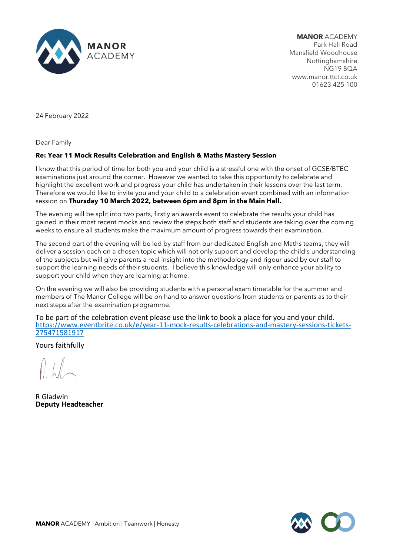

**MANOR** ACADEMY Park Hall Road Mansfield Woodhouse Nottinghamshire NG19 8QA www.manor.ttct.co.uk 01623 425 100

24 February 2022

Dear Family

## **Re: Year 11 Mock Results Celebration and English & Maths Mastery Session**

I know that this period of time for both you and your child is a stressful one with the onset of GCSE/BTEC examinations just around the corner. However we wanted to take this opportunity to celebrate and highlight the excellent work and progress your child has undertaken in their lessons over the last term. Therefore we would like to invite you and your child to a celebration event combined with an information session on **Thursday 10 March 2022, between 6pm and 8pm in the Main Hall.** 

The evening will be split into two parts, firstly an awards event to celebrate the results your child has gained in their most recent mocks and review the steps both staff and students are taking over the coming weeks to ensure all students make the maximum amount of progress towards their examination.

The second part of the evening will be led by staff from our dedicated English and Maths teams, they will deliver a session each on a chosen topic which will not only support and develop the child's understanding of the subjects but will give parents a real insight into the methodology and rigour used by our staff to support the learning needs of their students. I believe this knowledge will only enhance your ability to support your child when they are learning at home.

On the evening we will also be providing students with a personal exam timetable for the summer and members of The Manor College will be on hand to answer questions from students or parents as to their next steps after the examination programme.

To be part of the celebration event please use the link to book a place for you and your child. [https://www.eventbrite.co.uk/e/year-11-mock-results-celebrations-and-mastery-sessions-tickets-](https://www.eventbrite.co.uk/e/year-11-mock-results-celebrations-and-mastery-sessions-tickets-275471581917)[275471581917](https://www.eventbrite.co.uk/e/year-11-mock-results-celebrations-and-mastery-sessions-tickets-275471581917)

Yours faithfully

R Gladwin **Deputy Headteacher**